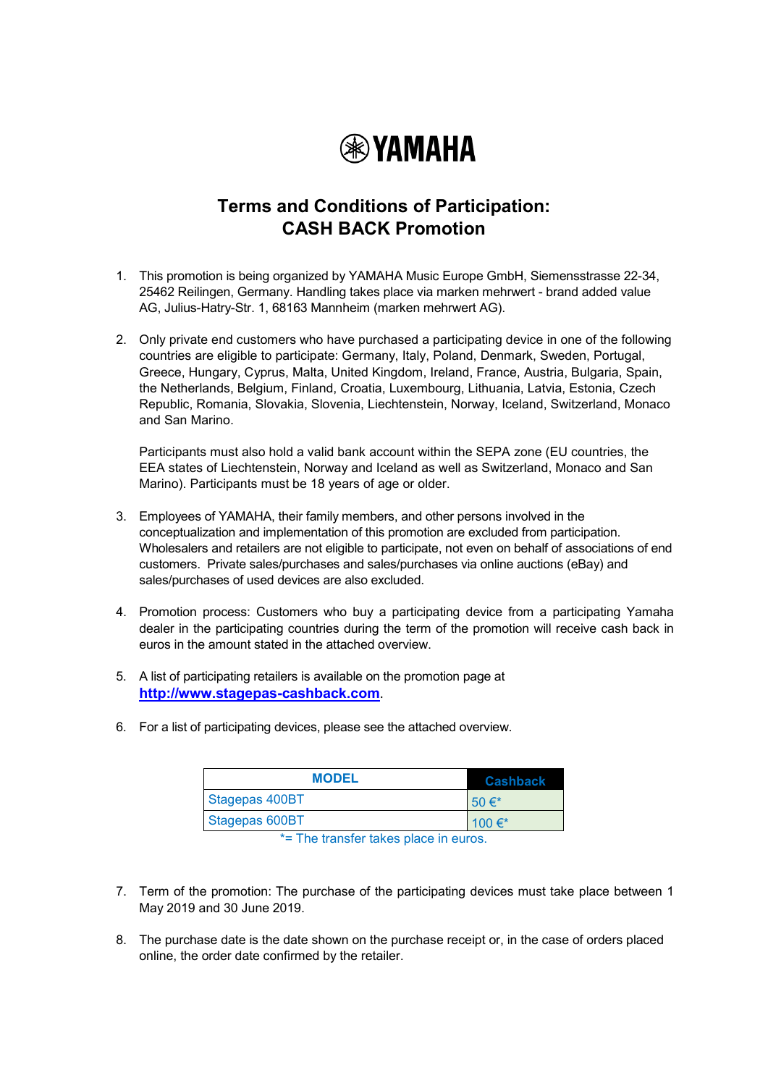

## **Terms and Conditions of Participation: CASH BACK Promotion**

- 1. This promotion is being organized by YAMAHA Music Europe GmbH, Siemensstrasse 22-34, 25462 Reilingen, Germany. Handling takes place via marken mehrwert - brand added value AG, Julius-Hatry-Str. 1, 68163 Mannheim (marken mehrwert AG).
- 2. Only private end customers who have purchased a participating device in one of the following countries are eligible to participate: Germany, Italy, Poland, Denmark, Sweden, Portugal, Greece, Hungary, Cyprus, Malta, United Kingdom, Ireland, France, Austria, Bulgaria, Spain, the Netherlands, Belgium, Finland, Croatia, Luxembourg, Lithuania, Latvia, Estonia, Czech Republic, Romania, Slovakia, Slovenia, Liechtenstein, Norway, Iceland, Switzerland, Monaco and San Marino.

Participants must also hold a valid bank account within the SEPA zone (EU countries, the EEA states of Liechtenstein, Norway and Iceland as well as Switzerland, Monaco and San Marino). Participants must be 18 years of age or older.

- 3. Employees of YAMAHA, their family members, and other persons involved in the conceptualization and implementation of this promotion are excluded from participation. Wholesalers and retailers are not eligible to participate, not even on behalf of associations of end customers. Private sales/purchases and sales/purchases via online auctions (eBay) and sales/purchases of used devices are also excluded.
- 4. Promotion process: Customers who buy a participating device from a participating Yamaha dealer in the participating countries during the term of the promotion will receive cash back in euros in the amount stated in the attached overview.
- 5. A list of participating retailers is available on the promotion page at **[http://www.stagepas-cashback.com](http://www.stagepas-cashback.com/)**.
- 6. For a list of participating devices, please see the attached overview.

| <b>MODEL</b>   | Cashback    |
|----------------|-------------|
| Stagepas 400BT | 50 $\in^*$  |
| Stagepas 600BT | 100 $\in^*$ |

\*= The transfer takes place in euros.

- 7. Term of the promotion: The purchase of the participating devices must take place between 1 May 2019 and 30 June 2019.
- 8. The purchase date is the date shown on the purchase receipt or, in the case of orders placed online, the order date confirmed by the retailer.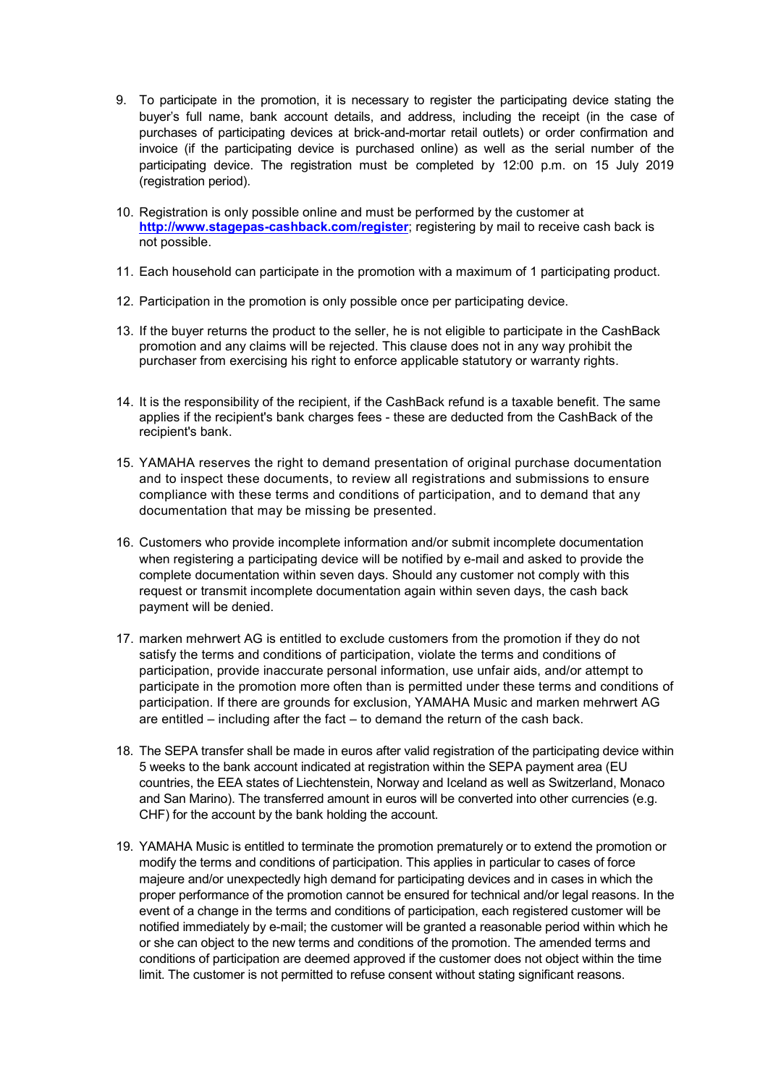- 9. To participate in the promotion, it is necessary to register the participating device stating the buyer's full name, bank account details, and address, including the receipt (in the case of purchases of participating devices at brick-and-mortar retail outlets) or order confirmation and invoice (if the participating device is purchased online) as well as the serial number of the participating device. The registration must be completed by 12:00 p.m. on 15 July 2019 (registration period).
- 10. Registration is only possible online and must be performed by the customer at **<http://www.stagepas-cashback.com/register>**; registering by mail to receive cash back is not possible.
- 11. Each household can participate in the promotion with a maximum of 1 participating product.
- 12. Participation in the promotion is only possible once per participating device.
- 13. If the buyer returns the product to the seller, he is not eligible to participate in the CashBack promotion and any claims will be rejected. This clause does not in any way prohibit the purchaser from exercising his right to enforce applicable statutory or warranty rights.
- 14. It is the responsibility of the recipient, if the CashBack refund is a taxable benefit. The same applies if the recipient's bank charges fees - these are deducted from the CashBack of the recipient's bank.
- 15. YAMAHA reserves the right to demand presentation of original purchase documentation and to inspect these documents, to review all registrations and submissions to ensure compliance with these terms and conditions of participation, and to demand that any documentation that may be missing be presented.
- 16. Customers who provide incomplete information and/or submit incomplete documentation when registering a participating device will be notified by e-mail and asked to provide the complete documentation within seven days. Should any customer not comply with this request or transmit incomplete documentation again within seven days, the cash back payment will be denied.
- 17. marken mehrwert AG is entitled to exclude customers from the promotion if they do not satisfy the terms and conditions of participation, violate the terms and conditions of participation, provide inaccurate personal information, use unfair aids, and/or attempt to participate in the promotion more often than is permitted under these terms and conditions of participation. If there are grounds for exclusion, YAMAHA Music and marken mehrwert AG are entitled – including after the fact – to demand the return of the cash back.
- 18. The SEPA transfer shall be made in euros after valid registration of the participating device within 5 weeks to the bank account indicated at registration within the SEPA payment area (EU countries, the EEA states of Liechtenstein, Norway and Iceland as well as Switzerland, Monaco and San Marino). The transferred amount in euros will be converted into other currencies (e.g. CHF) for the account by the bank holding the account.
- 19. YAMAHA Music is entitled to terminate the promotion prematurely or to extend the promotion or modify the terms and conditions of participation. This applies in particular to cases of force majeure and/or unexpectedly high demand for participating devices and in cases in which the proper performance of the promotion cannot be ensured for technical and/or legal reasons. In the event of a change in the terms and conditions of participation, each registered customer will be notified immediately by e-mail; the customer will be granted a reasonable period within which he or she can object to the new terms and conditions of the promotion. The amended terms and conditions of participation are deemed approved if the customer does not object within the time limit. The customer is not permitted to refuse consent without stating significant reasons.